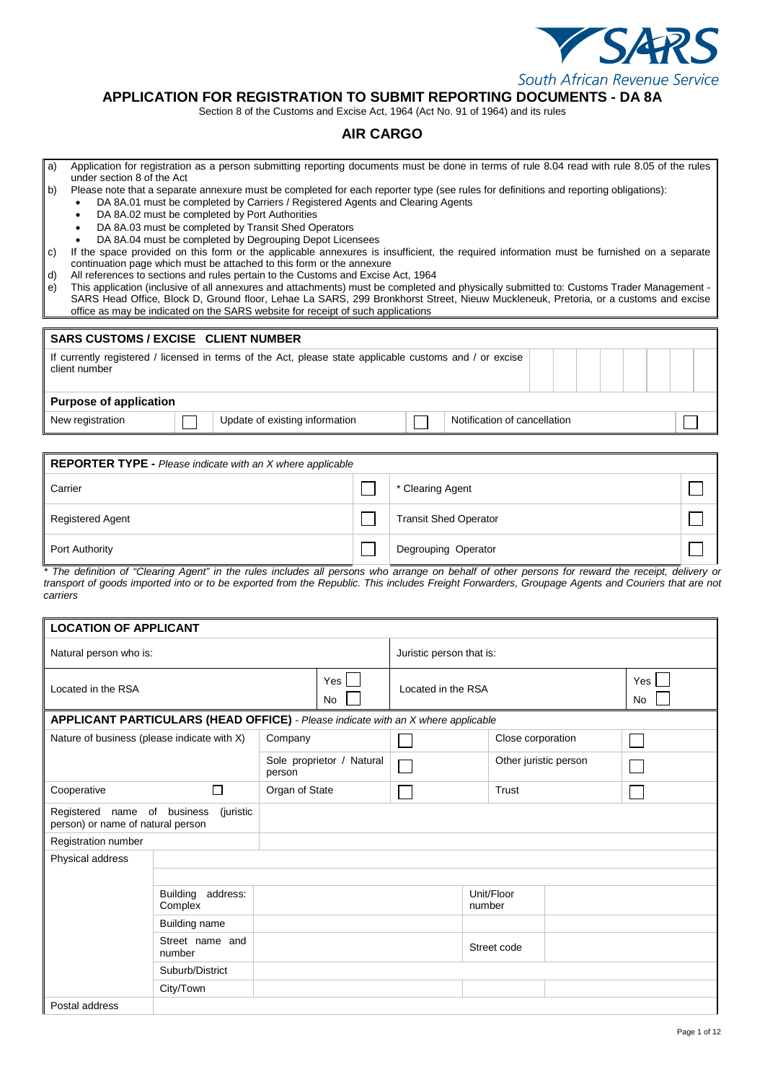

## **APPLICATION FOR REGISTRATION TO SUBMIT REPORTING DOCUMENTS - DA 8A**

Section 8 of the Customs and Excise Act, 1964 (Act No. 91 of 1964) and its rules

### **AIR CARGO**

- a) Application for registration as a person submitting reporting documents must be done in terms of rule 8.04 read with rule 8.05 of the rules under section 8 of the Act
- b) Please note that a separate annexure must be completed for each reporter type (see rules for definitions and reporting obligations):
	- DA 8A.01 must be completed by Carriers / Registered Agents and Clearing Agents
	- DA 8A.02 must be completed by Port Authorities
	- DA 8A.03 must be completed by Transit Shed Operators
	- DA 8A.04 must be completed by Degrouping Depot Licensees
- c) If the space provided on this form or the applicable annexures is insufficient, the required information must be furnished on a separate continuation page which must be attached to this form or the annexure
- d) All references to sections and rules pertain to the Customs and Excise Act, 1964
- e) This application (inclusive of all annexures and attachments) must be completed and physically submitted to: Customs Trader Management SARS Head Office, Block D, Ground floor, Lehae La SARS, 299 Bronkhorst Street, Nieuw Muckleneuk, Pretoria, or a customs and excise office as may be indicated on the SARS website for receipt of such applications

|                                                                                                                          | <b>SARS CUSTOMS / EXCISE CLIENT NUMBER</b> |                                |  |                              |  |  |  |  |  |  |  |
|--------------------------------------------------------------------------------------------------------------------------|--------------------------------------------|--------------------------------|--|------------------------------|--|--|--|--|--|--|--|
| If currently registered / licensed in terms of the Act, please state applicable customs and / or excise<br>client number |                                            |                                |  |                              |  |  |  |  |  |  |  |
| <b>Purpose of application</b>                                                                                            |                                            |                                |  |                              |  |  |  |  |  |  |  |
| New registration                                                                                                         |                                            | Update of existing information |  | Notification of cancellation |  |  |  |  |  |  |  |

| <b>REPORTER TYPE - Please indicate with an X where applicable</b> |  |                              |  |  |  |  |  |  |  |  |
|-------------------------------------------------------------------|--|------------------------------|--|--|--|--|--|--|--|--|
| Carrier                                                           |  | * Clearing Agent             |  |  |  |  |  |  |  |  |
| <b>Registered Agent</b>                                           |  | <b>Transit Shed Operator</b> |  |  |  |  |  |  |  |  |
| Port Authority                                                    |  | Degrouping Operator          |  |  |  |  |  |  |  |  |

*\* The definition of "Clearing Agent" in the rules includes all persons who arrange on behalf of other persons for reward the receipt, delivery or transport of goods imported into or to be exported from the Republic. This includes Freight Forwarders, Groupage Agents and Couriers that are not carriers*

| <b>LOCATION OF APPLICANT</b>                                     |                                                                                  |         |                           |                    |                      |                       |           |  |  |
|------------------------------------------------------------------|----------------------------------------------------------------------------------|---------|---------------------------|--------------------|----------------------|-----------------------|-----------|--|--|
| Natural person who is:                                           |                                                                                  |         | Juristic person that is:  |                    |                      |                       |           |  |  |
| Located in the RSA                                               |                                                                                  |         | Yes  <br><b>No</b>        | Located in the RSA |                      |                       | Yes<br>No |  |  |
|                                                                  | APPLICANT PARTICULARS (HEAD OFFICE) - Please indicate with an X where applicable |         |                           |                    |                      |                       |           |  |  |
| Nature of business (please indicate with X)                      |                                                                                  | Company |                           |                    |                      | Close corporation     |           |  |  |
|                                                                  |                                                                                  | person  | Sole proprietor / Natural |                    |                      | Other juristic person |           |  |  |
| Cooperative                                                      | Organ of State                                                                   |         |                           | Trust              |                      |                       |           |  |  |
| Registered name of business<br>person) or name of natural person | (juristic                                                                        |         |                           |                    |                      |                       |           |  |  |
| Registration number                                              |                                                                                  |         |                           |                    |                      |                       |           |  |  |
| Physical address                                                 |                                                                                  |         |                           |                    |                      |                       |           |  |  |
|                                                                  |                                                                                  |         |                           |                    |                      |                       |           |  |  |
|                                                                  | <b>Building</b><br>address:<br>Complex                                           |         |                           |                    | Unit/Floor<br>number |                       |           |  |  |
|                                                                  | <b>Building name</b>                                                             |         |                           |                    |                      |                       |           |  |  |
|                                                                  | Street name and<br>number                                                        |         |                           |                    | Street code          |                       |           |  |  |
|                                                                  | Suburb/District                                                                  |         |                           |                    |                      |                       |           |  |  |
|                                                                  | City/Town                                                                        |         |                           |                    |                      |                       |           |  |  |
| Postal address                                                   |                                                                                  |         |                           |                    |                      |                       |           |  |  |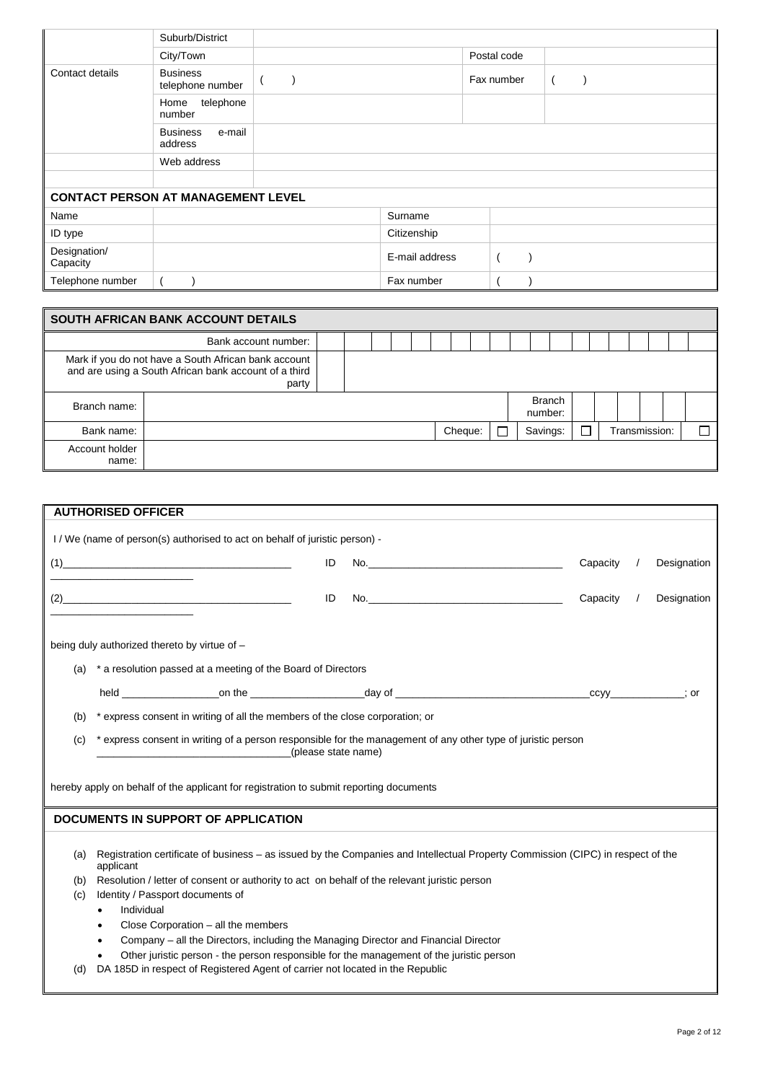|                                           | Suburb/District                      |                |             |  |
|-------------------------------------------|--------------------------------------|----------------|-------------|--|
|                                           | City/Town                            |                | Postal code |  |
| Contact details                           | <b>Business</b><br>telephone number  |                | Fax number  |  |
|                                           | telephone<br>Home<br>number          |                |             |  |
|                                           | <b>Business</b><br>e-mail<br>address |                |             |  |
|                                           | Web address                          |                |             |  |
|                                           |                                      |                |             |  |
| <b>CONTACT PERSON AT MANAGEMENT LEVEL</b> |                                      |                |             |  |
| Name                                      |                                      | Surname        |             |  |
| ID type                                   |                                      | Citizenship    |             |  |
| Designation/<br>Capacity                  |                                      | E-mail address |             |  |
| Telephone number                          |                                      | Fax number     |             |  |

|                         | SOUTH AFRICAN BANK ACCOUNT DETAILS                                                                                     |  |  |  |         |  |                          |  |  |               |  |
|-------------------------|------------------------------------------------------------------------------------------------------------------------|--|--|--|---------|--|--------------------------|--|--|---------------|--|
|                         | Bank account number:                                                                                                   |  |  |  |         |  |                          |  |  |               |  |
|                         | Mark if you do not have a South African bank account<br>and are using a South African bank account of a third<br>party |  |  |  |         |  |                          |  |  |               |  |
| Branch name:            |                                                                                                                        |  |  |  |         |  | <b>Branch</b><br>number: |  |  |               |  |
| Bank name:              |                                                                                                                        |  |  |  | Cheque: |  | Savings:                 |  |  | Transmission: |  |
| Account holder<br>name: |                                                                                                                        |  |  |  |         |  |                          |  |  |               |  |

|     | <b>AUTHORISED OFFICER</b>                                                                                                       |                 |             |
|-----|---------------------------------------------------------------------------------------------------------------------------------|-----------------|-------------|
|     | I / We (name of person(s) authorised to act on behalf of juristic person) -                                                     |                 |             |
|     |                                                                                                                                 |                 |             |
|     | (1)<br>ID                                                                                                                       | No.<br>Capacity | Designation |
|     |                                                                                                                                 |                 |             |
|     | $(2) \qquad \qquad \overbrace{ \qquad \qquad }$<br>ID                                                                           | Capacity        | Designation |
|     |                                                                                                                                 |                 |             |
|     | being duly authorized thereto by virtue of -                                                                                    |                 |             |
|     |                                                                                                                                 |                 |             |
| (a) | * a resolution passed at a meeting of the Board of Directors                                                                    |                 |             |
|     |                                                                                                                                 |                 |             |
| (b) | * express consent in writing of all the members of the close corporation; or                                                    |                 |             |
|     |                                                                                                                                 |                 |             |
| (c) | * express consent in writing of a person responsible for the management of any other type of juristic person                    |                 |             |
|     | (please state name)                                                                                                             |                 |             |
|     |                                                                                                                                 |                 |             |
|     | hereby apply on behalf of the applicant for registration to submit reporting documents                                          |                 |             |
|     | <b>DOCUMENTS IN SUPPORT OF APPLICATION</b>                                                                                      |                 |             |
|     |                                                                                                                                 |                 |             |
| (a) | Registration certificate of business – as issued by the Companies and Intellectual Property Commission (CIPC) in respect of the |                 |             |
|     | applicant                                                                                                                       |                 |             |
| (b) | Resolution / letter of consent or authority to act on behalf of the relevant juristic person                                    |                 |             |
| (c) | Identity / Passport documents of                                                                                                |                 |             |
|     | Individual<br>$\bullet$                                                                                                         |                 |             |
|     | Close Corporation - all the members<br>$\bullet$                                                                                |                 |             |
|     | Company - all the Directors, including the Managing Director and Financial Director                                             |                 |             |
|     | Other juristic person - the person responsible for the management of the juristic person                                        |                 |             |
| (d) | DA 185D in respect of Registered Agent of carrier not located in the Republic                                                   |                 |             |
|     |                                                                                                                                 |                 |             |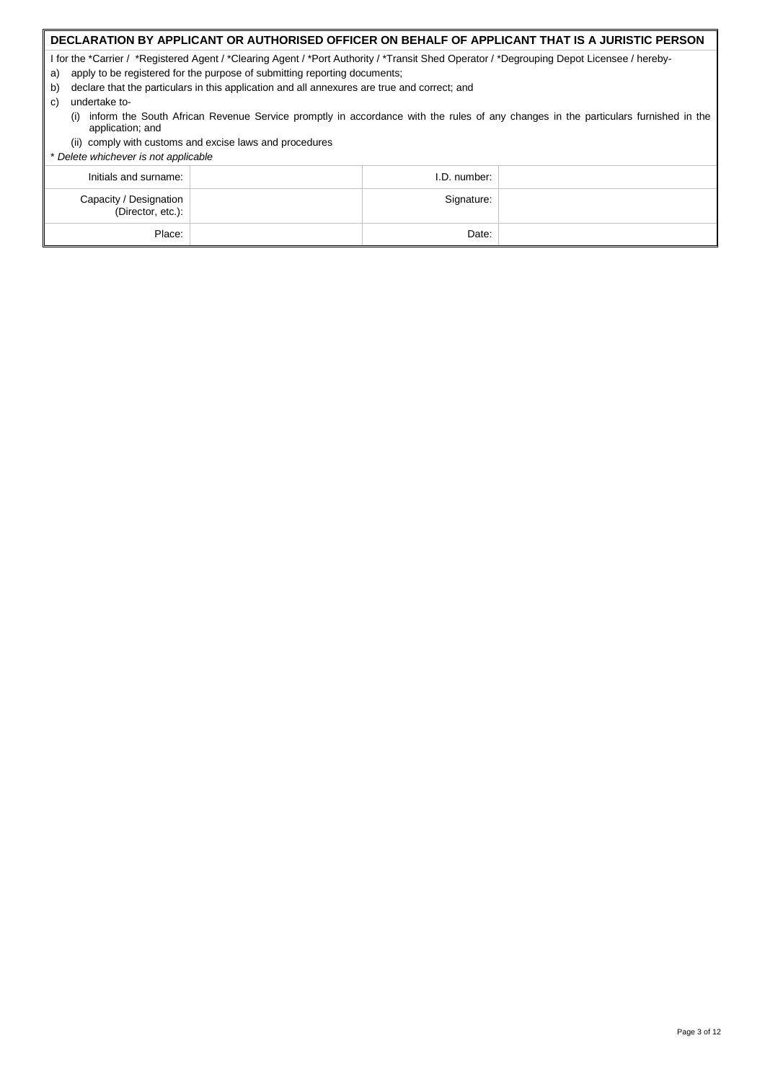### **DECLARATION BY APPLICANT OR AUTHORISED OFFICER ON BEHALF OF APPLICANT THAT IS A JURISTIC PERSON**

I for the \*Carrier / \*Registered Agent / \*Clearing Agent / \*Port Authority / \*Transit Shed Operator / \*Degrouping Depot Licensee / hereby-

- a) apply to be registered for the purpose of submitting reporting documents;
- b) declare that the particulars in this application and all annexures are true and correct; and
- c) undertake to-
	- (i) inform the South African Revenue Service promptly in accordance with the rules of any changes in the particulars furnished in the application; and
- (ii) comply with customs and excise laws and procedures

| .<br>* Delete whichever is not applicable   |              |  |
|---------------------------------------------|--------------|--|
| Initials and surname:                       | I.D. number: |  |
| Capacity / Designation<br>(Director, etc.): | Signature:   |  |
| Place:                                      | Date:        |  |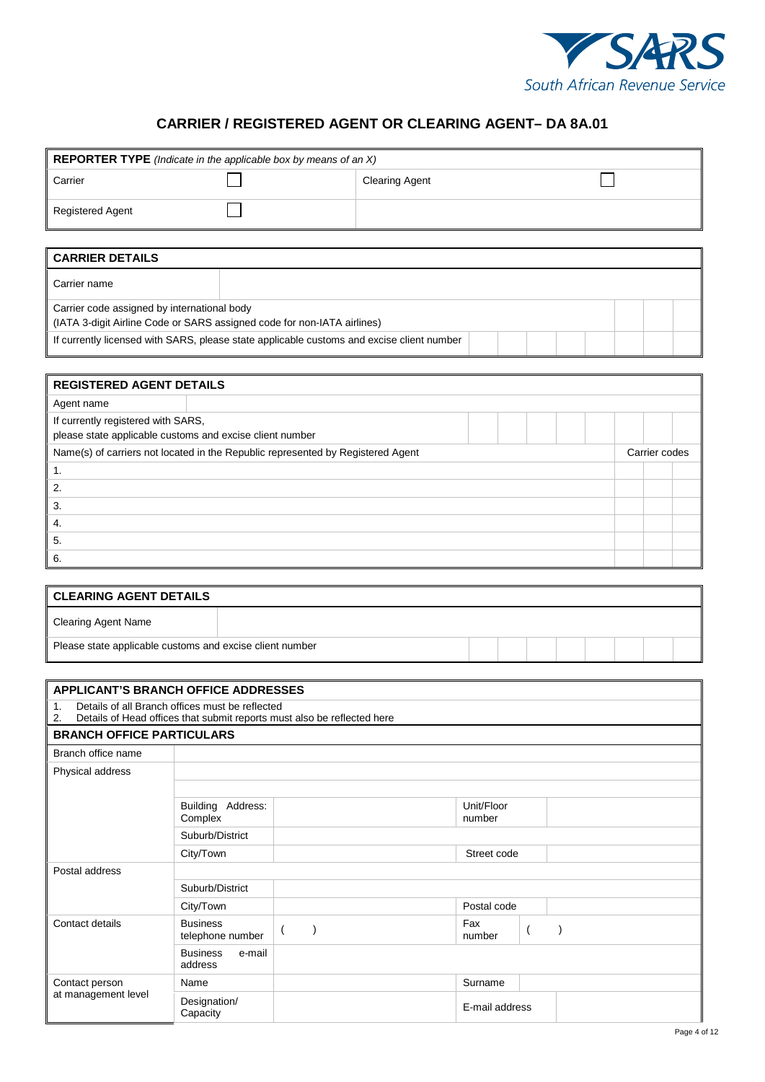

## **CARRIER / REGISTERED AGENT OR CLEARING AGENT– DA 8A.01**

| <b>REPORTER TYPE</b> (Indicate in the applicable box by means of an X)                    |                       |  |  |  |  |
|-------------------------------------------------------------------------------------------|-----------------------|--|--|--|--|
| Carrier                                                                                   | <b>Clearing Agent</b> |  |  |  |  |
| <b>Registered Agent</b>                                                                   |                       |  |  |  |  |
|                                                                                           |                       |  |  |  |  |
| <b>CARRIER DETAILS</b>                                                                    |                       |  |  |  |  |
| Carrier name                                                                              |                       |  |  |  |  |
| Carrier code assigned by international body                                               |                       |  |  |  |  |
| (IATA 3-digit Airline Code or SARS assigned code for non-IATA airlines)                   |                       |  |  |  |  |
| If currently licensed with SARS, please state applicable customs and excise client number |                       |  |  |  |  |
|                                                                                           |                       |  |  |  |  |
| <b>DECISTEDED ACENT DETAILS</b>                                                           |                       |  |  |  |  |

| REGISTERED AGENT DETAILS                                                        |               |  |
|---------------------------------------------------------------------------------|---------------|--|
| Agent name                                                                      |               |  |
| If currently registered with SARS,                                              |               |  |
| please state applicable customs and excise client number                        |               |  |
| Name(s) of carriers not located in the Republic represented by Registered Agent | Carrier codes |  |
| 1.                                                                              |               |  |
| 2.                                                                              |               |  |
| 3.                                                                              |               |  |
| 4.                                                                              |               |  |
| 5.                                                                              |               |  |
| 6.                                                                              |               |  |

| <b>CLEARING AGENT DETAILS</b>                            |  |  |  |  |  |
|----------------------------------------------------------|--|--|--|--|--|
| Clearing Agent Name                                      |  |  |  |  |  |
| Please state applicable customs and excise client number |  |  |  |  |  |

| <b>APPLICANT'S BRANCH OFFICE ADDRESSES</b> |                                                 |                                                                         |                      |  |
|--------------------------------------------|-------------------------------------------------|-------------------------------------------------------------------------|----------------------|--|
| 1.<br>2.                                   | Details of all Branch offices must be reflected | Details of Head offices that submit reports must also be reflected here |                      |  |
| <b>BRANCH OFFICE PARTICULARS</b>           |                                                 |                                                                         |                      |  |
| Branch office name                         |                                                 |                                                                         |                      |  |
| Physical address                           |                                                 |                                                                         |                      |  |
|                                            |                                                 |                                                                         |                      |  |
|                                            | Building Address:<br>Complex                    |                                                                         | Unit/Floor<br>number |  |
|                                            | Suburb/District                                 |                                                                         |                      |  |
|                                            | City/Town                                       |                                                                         | Street code          |  |
| Postal address                             |                                                 |                                                                         |                      |  |
|                                            | Suburb/District                                 |                                                                         |                      |  |
|                                            | City/Town                                       |                                                                         | Postal code          |  |
| Contact details                            | <b>Business</b><br>telephone number             |                                                                         | Fax<br>number        |  |
|                                            | <b>Business</b><br>e-mail<br>address            |                                                                         |                      |  |
| Contact person                             | Name                                            |                                                                         | Surname              |  |
| at management level                        | Designation/<br>Capacity                        |                                                                         | E-mail address       |  |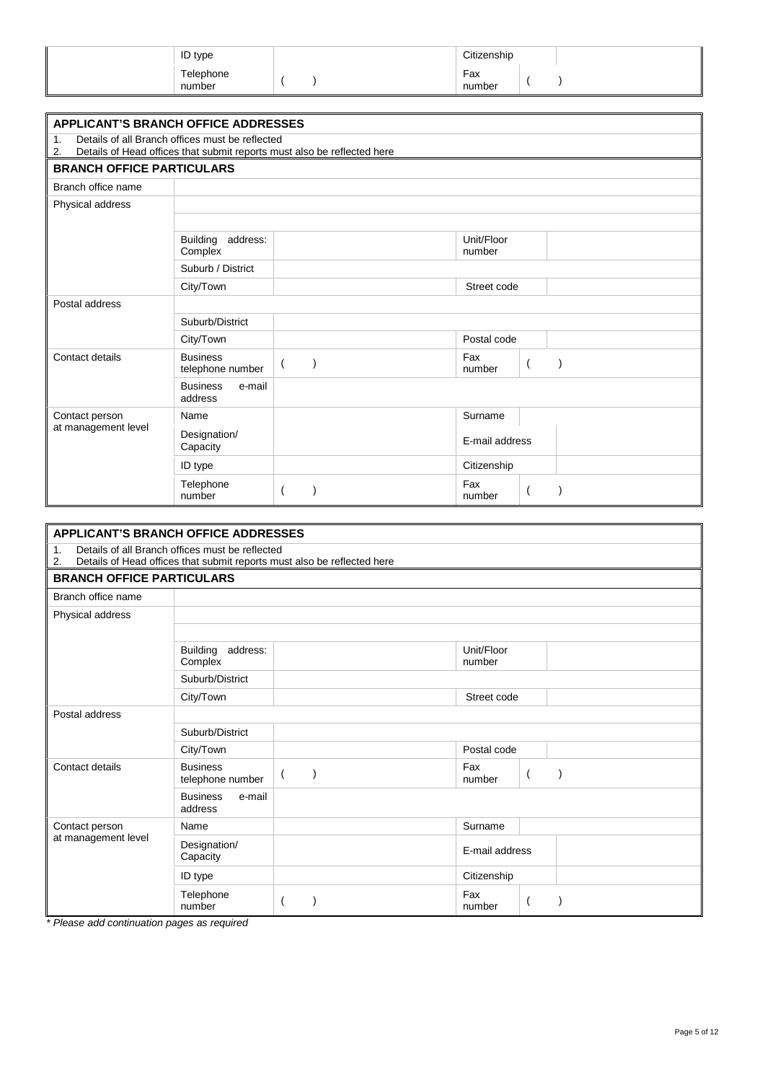| <b>ID</b> type      |  | Citizenship   |  |
|---------------------|--|---------------|--|
| Telephone<br>number |  | Fax<br>number |  |

| <b>APPLICANT'S BRANCH OFFICE ADDRESSES</b>                                                                                             |                                        |          |                      |                |  |  |  |  |
|----------------------------------------------------------------------------------------------------------------------------------------|----------------------------------------|----------|----------------------|----------------|--|--|--|--|
| Details of all Branch offices must be reflected<br>1.<br>Details of Head offices that submit reports must also be reflected here<br>2. |                                        |          |                      |                |  |  |  |  |
| <b>BRANCH OFFICE PARTICULARS</b>                                                                                                       |                                        |          |                      |                |  |  |  |  |
| Branch office name                                                                                                                     |                                        |          |                      |                |  |  |  |  |
| Physical address                                                                                                                       |                                        |          |                      |                |  |  |  |  |
|                                                                                                                                        |                                        |          |                      |                |  |  |  |  |
|                                                                                                                                        | address:<br><b>Building</b><br>Complex |          | Unit/Floor<br>number |                |  |  |  |  |
|                                                                                                                                        | Suburb / District                      |          |                      |                |  |  |  |  |
|                                                                                                                                        | City/Town                              |          | Street code          |                |  |  |  |  |
| Postal address                                                                                                                         |                                        |          |                      |                |  |  |  |  |
|                                                                                                                                        | Suburb/District                        |          |                      |                |  |  |  |  |
|                                                                                                                                        | City/Town                              |          | Postal code          |                |  |  |  |  |
| Contact details                                                                                                                        | <b>Business</b><br>telephone number    | $\left($ | Fax<br>number        | $\overline{(}$ |  |  |  |  |
|                                                                                                                                        | e-mail<br><b>Business</b><br>address   |          |                      |                |  |  |  |  |
| Contact person                                                                                                                         | Name                                   |          | Surname              |                |  |  |  |  |
| at management level                                                                                                                    | Designation/<br>Capacity               |          | E-mail address       |                |  |  |  |  |
|                                                                                                                                        | ID type                                |          | Citizenship          |                |  |  |  |  |
|                                                                                                                                        | Telephone<br>number                    |          | Fax<br>number        |                |  |  |  |  |

| <b>APPLICANT'S BRANCH OFFICE ADDRESSES</b>                                                                  |                                                 |                |                      |  |  |  |  |  |
|-------------------------------------------------------------------------------------------------------------|-------------------------------------------------|----------------|----------------------|--|--|--|--|--|
| 1.<br>2.                                                                                                    | Details of all Branch offices must be reflected |                |                      |  |  |  |  |  |
| Details of Head offices that submit reports must also be reflected here<br><b>BRANCH OFFICE PARTICULARS</b> |                                                 |                |                      |  |  |  |  |  |
|                                                                                                             |                                                 |                |                      |  |  |  |  |  |
| Branch office name                                                                                          |                                                 |                |                      |  |  |  |  |  |
| Physical address                                                                                            |                                                 |                |                      |  |  |  |  |  |
|                                                                                                             |                                                 |                |                      |  |  |  |  |  |
|                                                                                                             | Building address:<br>Complex                    |                | Unit/Floor<br>number |  |  |  |  |  |
|                                                                                                             | Suburb/District                                 |                |                      |  |  |  |  |  |
|                                                                                                             | City/Town                                       |                | Street code          |  |  |  |  |  |
| Postal address                                                                                              |                                                 |                |                      |  |  |  |  |  |
|                                                                                                             | Suburb/District                                 |                |                      |  |  |  |  |  |
|                                                                                                             | City/Town                                       |                | Postal code          |  |  |  |  |  |
| Contact details                                                                                             | <b>Business</b><br>telephone number             | $\overline{ }$ | Fax<br>number        |  |  |  |  |  |
|                                                                                                             | <b>Business</b><br>e-mail<br>address            |                |                      |  |  |  |  |  |
| Contact person                                                                                              | Name                                            |                | Surname              |  |  |  |  |  |
| at management level                                                                                         | Designation/<br>Capacity                        |                | E-mail address       |  |  |  |  |  |
|                                                                                                             | ID type                                         |                | Citizenship          |  |  |  |  |  |
|                                                                                                             | Telephone<br>number                             |                | Fax<br>number        |  |  |  |  |  |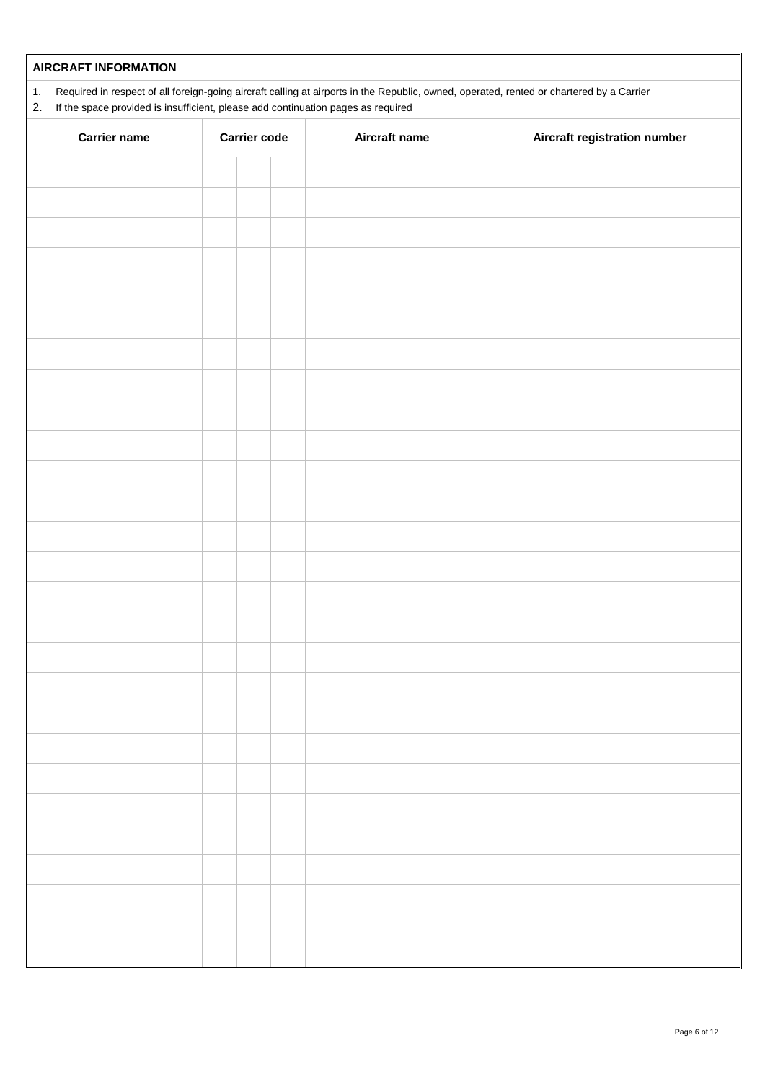| <b>AIRCRAFT INFORMATION</b>                                                                                                                                                                                                                         |  |                     |               |                              |  |  |  |  |  |
|-----------------------------------------------------------------------------------------------------------------------------------------------------------------------------------------------------------------------------------------------------|--|---------------------|---------------|------------------------------|--|--|--|--|--|
| Required in respect of all foreign-going aircraft calling at airports in the Republic, owned, operated, rented or chartered by a Carrier<br>$\mathbf 1$ .<br>If the space provided is insufficient, please add continuation pages as required<br>2. |  |                     |               |                              |  |  |  |  |  |
| <b>Carrier name</b>                                                                                                                                                                                                                                 |  | <b>Carrier code</b> | Aircraft name | Aircraft registration number |  |  |  |  |  |
|                                                                                                                                                                                                                                                     |  |                     |               |                              |  |  |  |  |  |
|                                                                                                                                                                                                                                                     |  |                     |               |                              |  |  |  |  |  |
|                                                                                                                                                                                                                                                     |  |                     |               |                              |  |  |  |  |  |
|                                                                                                                                                                                                                                                     |  |                     |               |                              |  |  |  |  |  |
|                                                                                                                                                                                                                                                     |  |                     |               |                              |  |  |  |  |  |
|                                                                                                                                                                                                                                                     |  |                     |               |                              |  |  |  |  |  |
|                                                                                                                                                                                                                                                     |  |                     |               |                              |  |  |  |  |  |
|                                                                                                                                                                                                                                                     |  |                     |               |                              |  |  |  |  |  |
|                                                                                                                                                                                                                                                     |  |                     |               |                              |  |  |  |  |  |
|                                                                                                                                                                                                                                                     |  |                     |               |                              |  |  |  |  |  |
|                                                                                                                                                                                                                                                     |  |                     |               |                              |  |  |  |  |  |
|                                                                                                                                                                                                                                                     |  |                     |               |                              |  |  |  |  |  |
|                                                                                                                                                                                                                                                     |  |                     |               |                              |  |  |  |  |  |
|                                                                                                                                                                                                                                                     |  |                     |               |                              |  |  |  |  |  |
|                                                                                                                                                                                                                                                     |  |                     |               |                              |  |  |  |  |  |
|                                                                                                                                                                                                                                                     |  |                     |               |                              |  |  |  |  |  |
|                                                                                                                                                                                                                                                     |  |                     |               |                              |  |  |  |  |  |
|                                                                                                                                                                                                                                                     |  |                     |               |                              |  |  |  |  |  |
|                                                                                                                                                                                                                                                     |  |                     |               |                              |  |  |  |  |  |
|                                                                                                                                                                                                                                                     |  |                     |               |                              |  |  |  |  |  |
|                                                                                                                                                                                                                                                     |  |                     |               |                              |  |  |  |  |  |
|                                                                                                                                                                                                                                                     |  |                     |               |                              |  |  |  |  |  |
|                                                                                                                                                                                                                                                     |  |                     |               |                              |  |  |  |  |  |
|                                                                                                                                                                                                                                                     |  |                     |               |                              |  |  |  |  |  |
|                                                                                                                                                                                                                                                     |  |                     |               |                              |  |  |  |  |  |
|                                                                                                                                                                                                                                                     |  |                     |               |                              |  |  |  |  |  |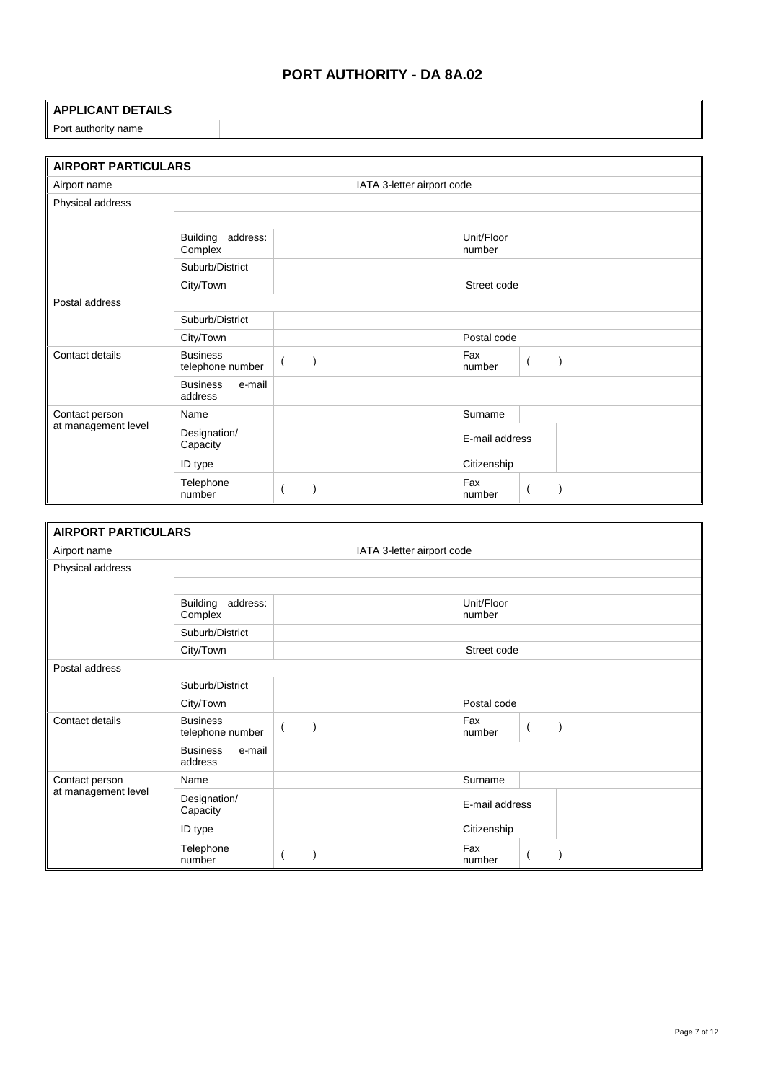## **PORT AUTHORITY - DA 8A.02**

#### **APPLICANT DETAILS**

Port authority name

| <b>AIRPORT PARTICULARS</b> |                                        |            |                            |                      |  |
|----------------------------|----------------------------------------|------------|----------------------------|----------------------|--|
| Airport name               |                                        |            | IATA 3-letter airport code |                      |  |
| Physical address           |                                        |            |                            |                      |  |
|                            |                                        |            |                            |                      |  |
|                            | address:<br><b>Building</b><br>Complex |            |                            | Unit/Floor<br>number |  |
|                            | Suburb/District                        |            |                            |                      |  |
|                            | City/Town                              |            |                            | Street code          |  |
| Postal address             |                                        |            |                            |                      |  |
|                            | Suburb/District                        |            |                            |                      |  |
|                            | City/Town                              |            |                            | Postal code          |  |
| Contact details            | <b>Business</b><br>telephone number    | $\sqrt{2}$ |                            | Fax<br>number        |  |
|                            | e-mail<br><b>Business</b><br>address   |            |                            |                      |  |
| Contact person             | Name                                   |            |                            | Surname              |  |
| at management level        | Designation/<br>Capacity               |            |                            | E-mail address       |  |
|                            | ID type                                |            |                            | Citizenship          |  |
|                            | Telephone<br>number                    |            |                            | Fax<br>number        |  |

| <b>AIRPORT PARTICULARS</b> |                                        |                            |                      |                |
|----------------------------|----------------------------------------|----------------------------|----------------------|----------------|
| Airport name               |                                        | IATA 3-letter airport code |                      |                |
| Physical address           |                                        |                            |                      |                |
|                            |                                        |                            |                      |                |
|                            | address:<br><b>Building</b><br>Complex |                            | Unit/Floor<br>number |                |
|                            | Suburb/District                        |                            |                      |                |
|                            | City/Town                              |                            | Street code          |                |
| Postal address             |                                        |                            |                      |                |
|                            | Suburb/District                        |                            |                      |                |
|                            | City/Town                              |                            | Postal code          |                |
| Contact details            | <b>Business</b><br>telephone number    |                            | Fax<br>number        | $\overline{ }$ |
|                            | e-mail<br><b>Business</b><br>address   |                            |                      |                |
| Contact person             | Name                                   |                            | Surname              |                |
| at management level        | Designation/<br>Capacity               |                            | E-mail address       |                |
|                            | ID type                                |                            | Citizenship          |                |
|                            | Telephone<br>number                    |                            | Fax<br>number        |                |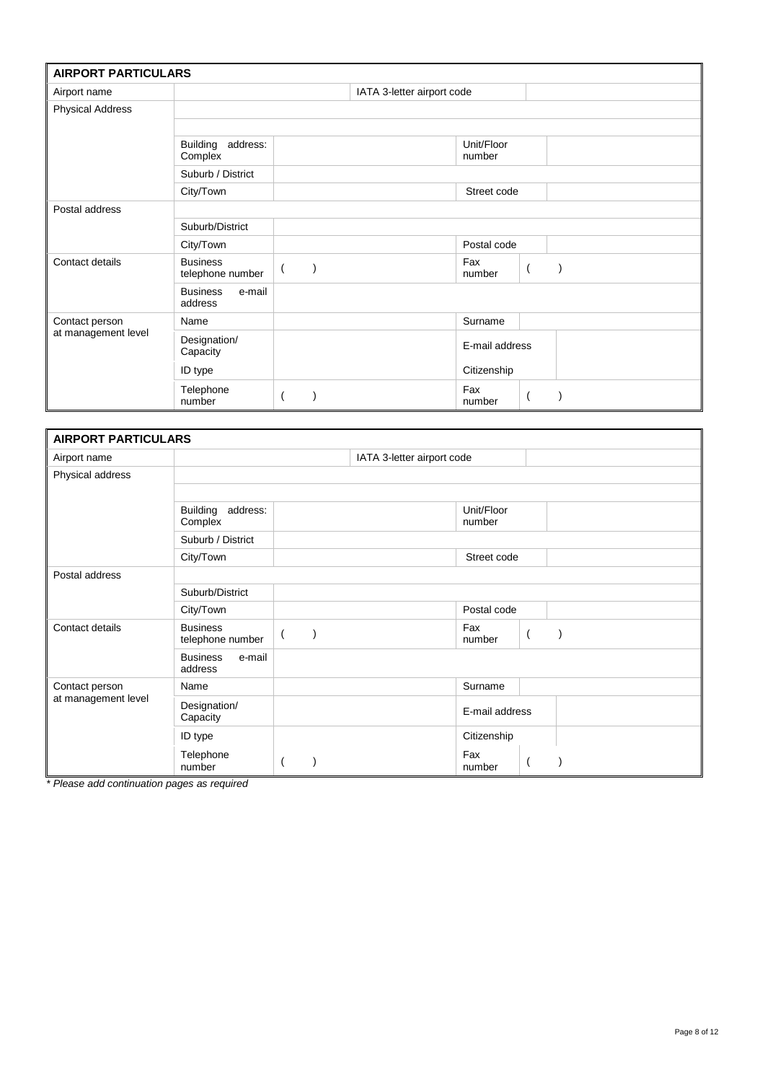| <b>AIRPORT PARTICULARS</b> |                                        |                            |                      |                |
|----------------------------|----------------------------------------|----------------------------|----------------------|----------------|
| Airport name               |                                        | IATA 3-letter airport code |                      |                |
| <b>Physical Address</b>    |                                        |                            |                      |                |
|                            |                                        |                            |                      |                |
|                            | <b>Building</b><br>address:<br>Complex |                            | Unit/Floor<br>number |                |
|                            | Suburb / District                      |                            |                      |                |
|                            | City/Town                              |                            | Street code          |                |
| Postal address             |                                        |                            |                      |                |
|                            | Suburb/District                        |                            |                      |                |
|                            | City/Town                              |                            | Postal code          |                |
| Contact details            | <b>Business</b><br>telephone number    |                            | Fax<br>number        | $\overline{ }$ |
|                            | e-mail<br><b>Business</b><br>address   |                            |                      |                |
| Contact person             | Name                                   |                            | Surname              |                |
| at management level        | Designation/<br>Capacity               |                            | E-mail address       |                |
|                            | ID type                                |                            | Citizenship          |                |
|                            | Telephone<br>number                    |                            | Fax<br>number        |                |

| <b>AIRPORT PARTICULARS</b> |                                        |                            |                      |                          |
|----------------------------|----------------------------------------|----------------------------|----------------------|--------------------------|
| Airport name               |                                        | IATA 3-letter airport code |                      |                          |
| Physical address           |                                        |                            |                      |                          |
|                            |                                        |                            |                      |                          |
|                            | address:<br><b>Building</b><br>Complex |                            | Unit/Floor<br>number |                          |
|                            | Suburb / District                      |                            |                      |                          |
|                            | City/Town                              |                            | Street code          |                          |
| Postal address             |                                        |                            |                      |                          |
|                            | Suburb/District                        |                            |                      |                          |
|                            | City/Town                              |                            | Postal code          |                          |
| Contact details            | <b>Business</b><br>telephone number    |                            | Fax<br>number        | $\overline{\phantom{a}}$ |
|                            | <b>Business</b><br>e-mail<br>address   |                            |                      |                          |
| Contact person             | Name                                   |                            | Surname              |                          |
| at management level        | Designation/<br>Capacity               |                            | E-mail address       |                          |
|                            | ID type                                |                            | Citizenship          |                          |
|                            | Telephone<br>number                    |                            | Fax<br>number        |                          |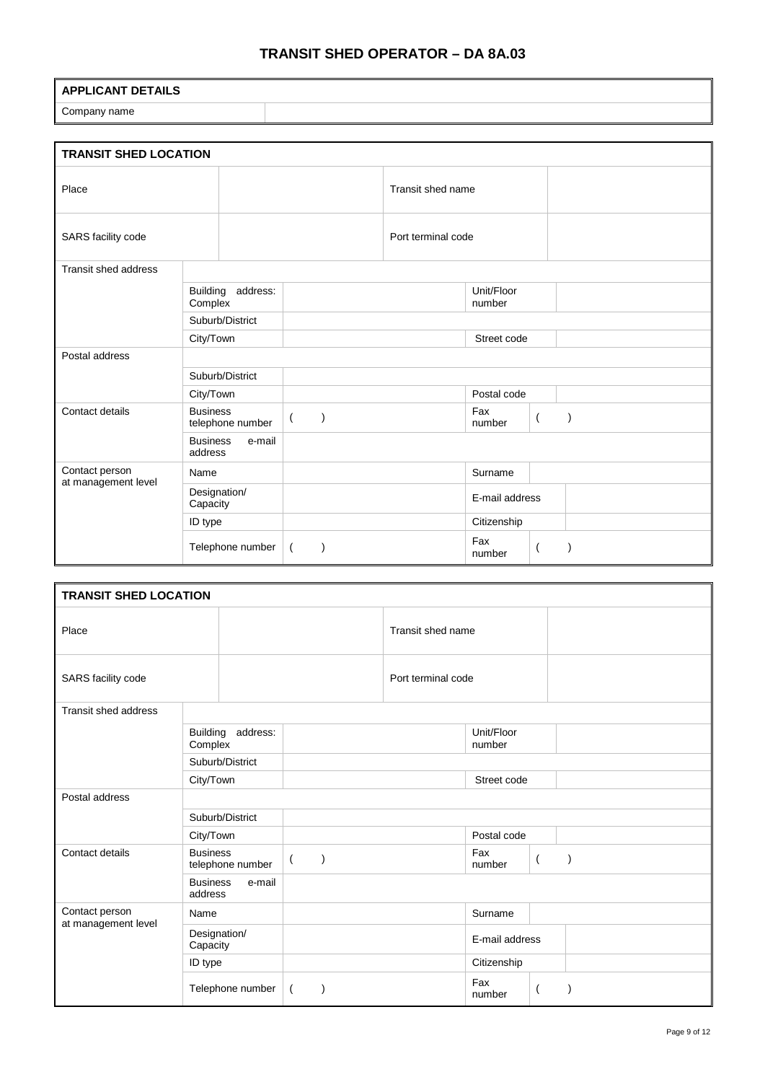## **TRANSIT SHED OPERATOR – DA 8A.03**

### **APPLICANT DETAILS**

Company name

| <b>TRANSIT SHED LOCATION</b> |                                        |                               |                    |                      |                          |
|------------------------------|----------------------------------------|-------------------------------|--------------------|----------------------|--------------------------|
| Place                        |                                        |                               | Transit shed name  |                      |                          |
| SARS facility code           |                                        |                               | Port terminal code |                      |                          |
| Transit shed address         |                                        |                               |                    |                      |                          |
|                              | <b>Building</b><br>address:<br>Complex |                               |                    | Unit/Floor<br>number |                          |
|                              | Suburb/District                        |                               |                    |                      |                          |
|                              | City/Town                              |                               |                    | Street code          |                          |
| Postal address               |                                        |                               |                    |                      |                          |
|                              | Suburb/District                        |                               |                    |                      |                          |
|                              | City/Town                              |                               |                    | Postal code          |                          |
| Contact details              | <b>Business</b><br>telephone number    | $\lambda$<br>$\overline{(\ }$ |                    | Fax<br>number        | $\left($                 |
|                              | <b>Business</b><br>e-mail<br>address   |                               |                    |                      |                          |
| Contact person               | Name                                   |                               |                    | Surname              |                          |
| at management level          | Designation/<br>Capacity               |                               |                    | E-mail address       |                          |
|                              | ID type                                |                               |                    | Citizenship          |                          |
|                              | Telephone number                       | $\left($                      |                    | Fax<br>number        | $\overline{\mathcal{L}}$ |

| <b>TRANSIT SHED LOCATION</b> |                                        |                               |                    |                      |                          |  |
|------------------------------|----------------------------------------|-------------------------------|--------------------|----------------------|--------------------------|--|
| Place                        |                                        |                               | Transit shed name  |                      |                          |  |
| SARS facility code           |                                        |                               | Port terminal code |                      |                          |  |
| Transit shed address         |                                        |                               |                    |                      |                          |  |
|                              | <b>Building</b><br>address:<br>Complex |                               |                    | Unit/Floor<br>number |                          |  |
|                              | Suburb/District                        |                               |                    |                      |                          |  |
|                              | City/Town                              |                               |                    | Street code          |                          |  |
| Postal address               |                                        |                               |                    |                      |                          |  |
|                              | Suburb/District                        |                               |                    |                      |                          |  |
|                              | City/Town                              |                               |                    | Postal code          |                          |  |
| Contact details              | <b>Business</b><br>telephone number    | $\lambda$<br>$\overline{(\ }$ |                    | Fax<br>number        | $\left($                 |  |
|                              | <b>Business</b><br>e-mail<br>address   |                               |                    |                      |                          |  |
| Contact person               | Name                                   |                               |                    | Surname              |                          |  |
| at management level          | Designation/<br>Capacity               |                               |                    | E-mail address       |                          |  |
|                              | ID type                                |                               |                    | Citizenship          |                          |  |
|                              | Telephone number                       | $\left($                      |                    | Fax<br>number        | $\overline{\mathcal{L}}$ |  |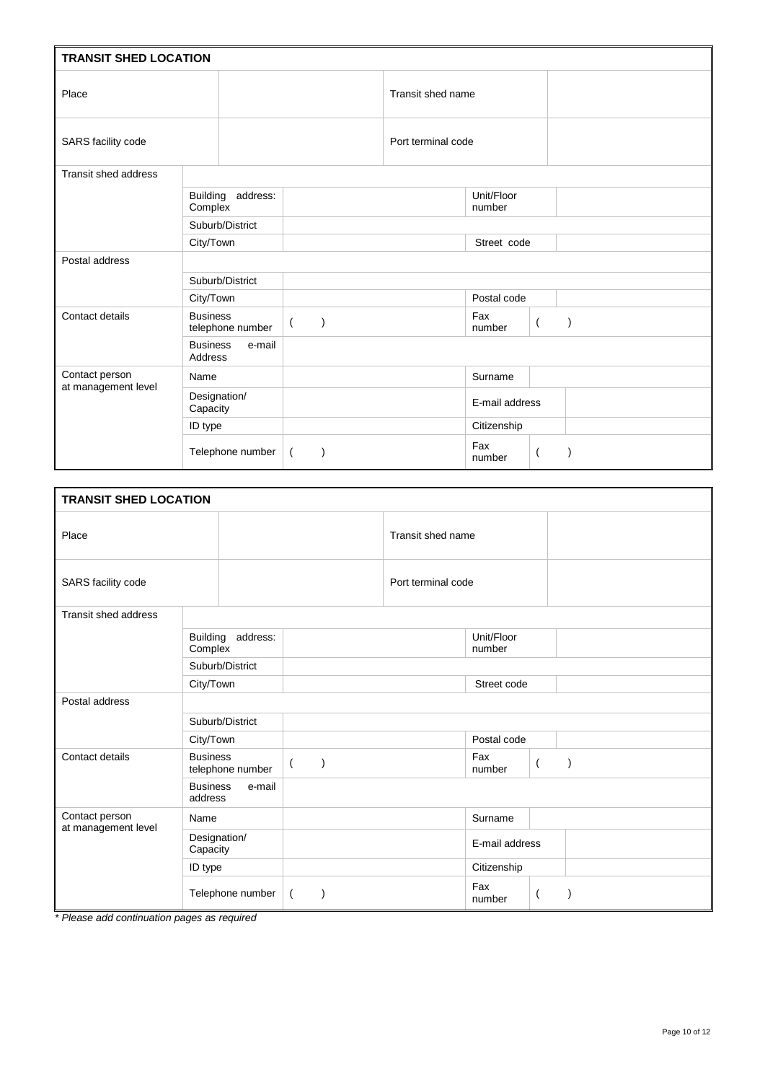| <b>TRANSIT SHED LOCATION</b>          |                                             |                               |                    |                      |                |
|---------------------------------------|---------------------------------------------|-------------------------------|--------------------|----------------------|----------------|
| Place                                 |                                             |                               | Transit shed name  |                      |                |
| SARS facility code                    |                                             |                               | Port terminal code |                      |                |
| <b>Transit shed address</b>           |                                             |                               |                    |                      |                |
|                                       | <b>Building</b><br>address:<br>Complex      |                               |                    | Unit/Floor<br>number |                |
|                                       | Suburb/District                             |                               |                    |                      |                |
|                                       | City/Town                                   |                               |                    | Street code          |                |
| Postal address                        |                                             |                               |                    |                      |                |
|                                       | Suburb/District                             |                               |                    |                      |                |
|                                       | City/Town                                   |                               |                    | Postal code          |                |
| Contact details                       | <b>Business</b><br>telephone number         | $\lambda$<br>$\overline{(\ }$ |                    | Fax<br>number        | $\overline{ }$ |
|                                       | <b>Business</b><br>e-mail<br><b>Address</b> |                               |                    |                      |                |
| Contact person<br>at management level | Name                                        |                               |                    | Surname              |                |
|                                       | Designation/<br>Capacity                    |                               |                    | E-mail address       |                |
|                                       | ID type                                     |                               |                    | Citizenship          |                |
|                                       | Telephone number                            | $\left($<br>$\lambda$         |                    | Fax<br>number        |                |

| <b>TRANSIT SHED LOCATION</b> |                                        |               |                    |                                 |  |
|------------------------------|----------------------------------------|---------------|--------------------|---------------------------------|--|
| Place                        |                                        |               | Transit shed name  |                                 |  |
| SARS facility code           |                                        |               | Port terminal code |                                 |  |
| <b>Transit shed address</b>  |                                        |               |                    |                                 |  |
|                              | <b>Building</b><br>address:<br>Complex |               |                    | Unit/Floor<br>number            |  |
|                              | Suburb/District                        |               |                    |                                 |  |
|                              | City/Town                              |               |                    | Street code                     |  |
| Postal address               |                                        |               |                    |                                 |  |
|                              | Suburb/District                        |               |                    |                                 |  |
|                              | City/Town                              |               |                    | Postal code                     |  |
| Contact details              | <b>Business</b><br>telephone number    | J<br>$\left($ |                    | Fax<br>$\overline{ }$<br>number |  |
|                              | <b>Business</b><br>e-mail<br>address   |               |                    |                                 |  |
| Contact person               | Name                                   |               |                    | Surname                         |  |
| at management level          | Designation/<br>Capacity               |               |                    | E-mail address                  |  |
|                              | ID type                                |               |                    | Citizenship                     |  |
|                              | Telephone number                       | $\left($      |                    | Fax<br>number                   |  |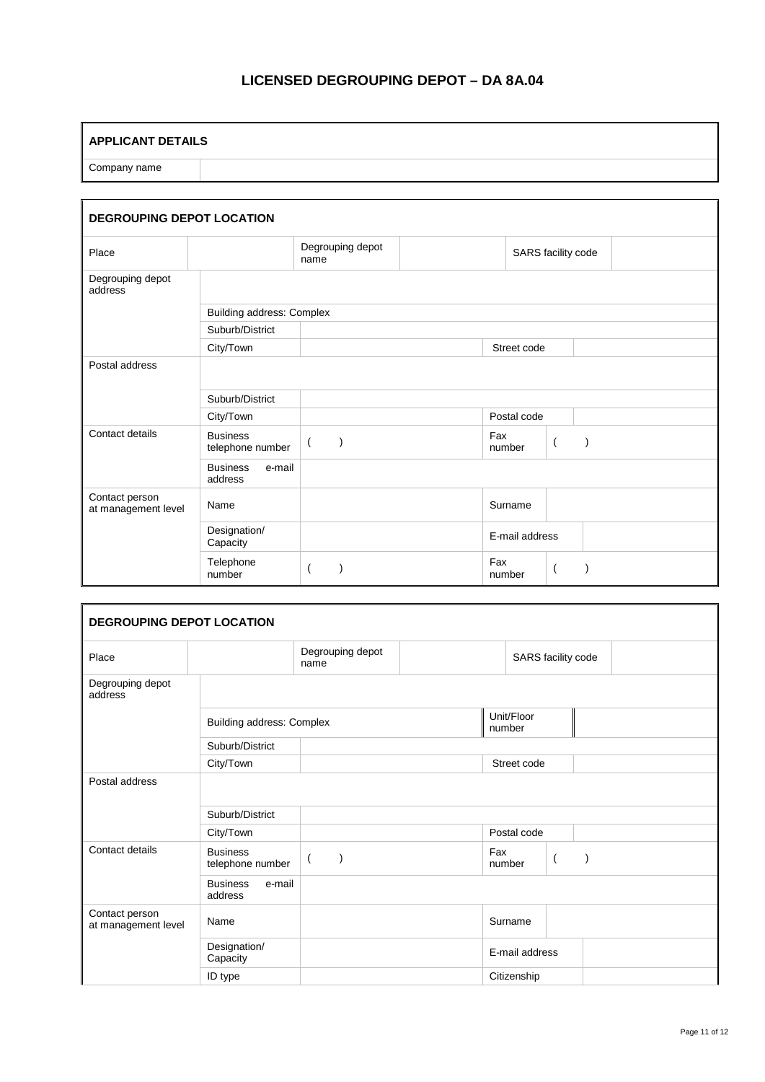# **LICENSED DEGROUPING DEPOT – DA 8A.04**

#### **APPLICANT DETAILS**

Company name

| <b>DEGROUPING DEPOT LOCATION</b>      |                                      |                           |                    |                |                |  |  |  |
|---------------------------------------|--------------------------------------|---------------------------|--------------------|----------------|----------------|--|--|--|
| Place                                 |                                      | Degrouping depot<br>name  | SARS facility code |                |                |  |  |  |
| Degrouping depot<br>address           |                                      |                           |                    |                |                |  |  |  |
|                                       | <b>Building address: Complex</b>     |                           |                    |                |                |  |  |  |
|                                       | Suburb/District                      |                           |                    |                |                |  |  |  |
|                                       | City/Town                            |                           |                    | Street code    |                |  |  |  |
| Postal address                        |                                      |                           |                    |                |                |  |  |  |
|                                       | Suburb/District                      |                           |                    |                |                |  |  |  |
|                                       | City/Town                            |                           |                    | Postal code    |                |  |  |  |
| Contact details                       | <b>Business</b><br>telephone number  | $\mathcal{E}$<br>$\left($ |                    | Fax<br>number  | $\overline{ }$ |  |  |  |
|                                       | <b>Business</b><br>e-mail<br>address |                           |                    |                |                |  |  |  |
| Contact person<br>at management level | Name                                 |                           |                    | Surname        |                |  |  |  |
|                                       | Designation/<br>Capacity             |                           |                    | E-mail address |                |  |  |  |
|                                       | Telephone<br>number                  |                           |                    | Fax<br>number  |                |  |  |  |

| <b>DEGROUPING DEPOT LOCATION</b>      |                                      |                          |                    |                      |                |  |
|---------------------------------------|--------------------------------------|--------------------------|--------------------|----------------------|----------------|--|
| Place                                 |                                      | Degrouping depot<br>name | SARS facility code |                      |                |  |
| Degrouping depot<br>address           |                                      |                          |                    |                      |                |  |
|                                       | Building address: Complex            |                          |                    | Unit/Floor<br>number |                |  |
|                                       | Suburb/District                      |                          |                    |                      |                |  |
|                                       | City/Town                            |                          |                    | Street code          |                |  |
| Postal address                        |                                      |                          |                    |                      |                |  |
|                                       | Suburb/District                      |                          |                    |                      |                |  |
|                                       | City/Town                            |                          | Postal code        |                      |                |  |
| Contact details                       | <b>Business</b><br>telephone number  | $\overline{ }$           |                    | Fax<br>number        | $\overline{ }$ |  |
|                                       | <b>Business</b><br>e-mail<br>address |                          |                    |                      |                |  |
| Contact person<br>at management level | Name                                 |                          |                    | Surname              |                |  |
|                                       | Designation/<br>Capacity             |                          |                    | E-mail address       |                |  |
|                                       | ID type                              |                          |                    | Citizenship          |                |  |